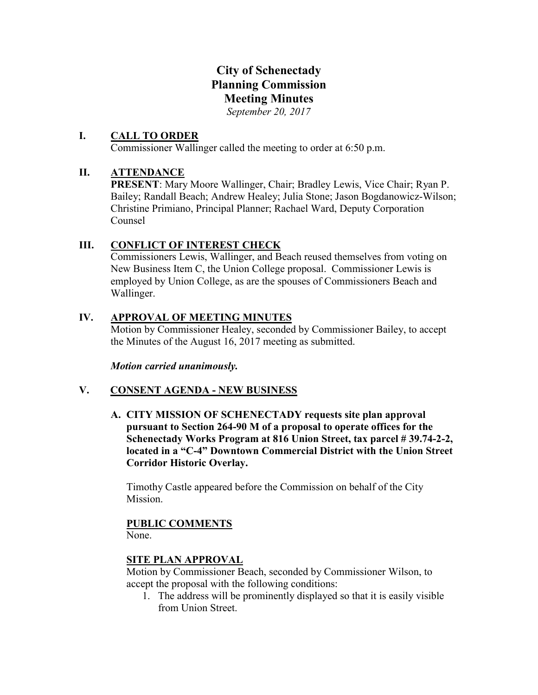# City of Schenectady Planning Commission Meeting Minutes

*September 20, 2017*

### I. CALL TO ORDER

Commissioner Wallinger called the meeting to order at 6:50 p.m.

## II. ATTENDANCE

PRESENT: Mary Moore Wallinger, Chair; Bradley Lewis, Vice Chair; Ryan P. Bailey; Randall Beach; Andrew Healey; Julia Stone; Jason Bogdanowicz-Wilson; Christine Primiano, Principal Planner; Rachael Ward, Deputy Corporation Counsel

## III. CONFLICT OF INTEREST CHECK

Commissioners Lewis, Wallinger, and Beach reused themselves from voting on New Business Item C, the Union College proposal. Commissioner Lewis is employed by Union College, as are the spouses of Commissioners Beach and Wallinger.

### IV. APPROVAL OF MEETING MINUTES

Motion by Commissioner Healey, seconded by Commissioner Bailey, to accept the Minutes of the August 16, 2017 meeting as submitted.

*Motion carried unanimously.*

# V. CONSENT AGENDA - NEW BUSINESS

A. CITY MISSION OF SCHENECTADY requests site plan approval pursuant to Section 264-90 M of a proposal to operate offices for the Schenectady Works Program at 816 Union Street, tax parcel # 39.74-2-2, located in a "C-4" Downtown Commercial District with the Union Street Corridor Historic Overlay.

Timothy Castle appeared before the Commission on behalf of the City Mission.

# PUBLIC COMMENTS

None.

# SITE PLAN APPROVAL

Motion by Commissioner Beach, seconded by Commissioner Wilson, to accept the proposal with the following conditions:

1. The address will be prominently displayed so that it is easily visible from Union Street.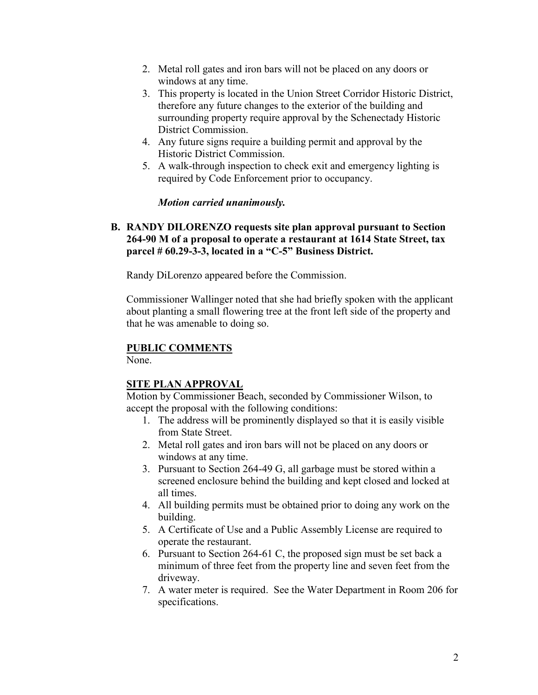- 2. Metal roll gates and iron bars will not be placed on any doors or windows at any time.
- 3. This property is located in the Union Street Corridor Historic District, therefore any future changes to the exterior of the building and surrounding property require approval by the Schenectady Historic District Commission.
- 4. Any future signs require a building permit and approval by the Historic District Commission.
- 5. A walk-through inspection to check exit and emergency lighting is required by Code Enforcement prior to occupancy.

### *Motion carried unanimously.*

### B. RANDY DILORENZO requests site plan approval pursuant to Section 264-90 M of a proposal to operate a restaurant at 1614 State Street, tax parcel # 60.29-3-3, located in a "C-5" Business District.

Randy DiLorenzo appeared before the Commission.

Commissioner Wallinger noted that she had briefly spoken with the applicant about planting a small flowering tree at the front left side of the property and that he was amenable to doing so.

### PUBLIC COMMENTS

None.

### SITE PLAN APPROVAL

Motion by Commissioner Beach, seconded by Commissioner Wilson, to accept the proposal with the following conditions:

- 1. The address will be prominently displayed so that it is easily visible from State Street.
- 2. Metal roll gates and iron bars will not be placed on any doors or windows at any time.
- 3. Pursuant to Section 264-49 G, all garbage must be stored within a screened enclosure behind the building and kept closed and locked at all times.
- 4. All building permits must be obtained prior to doing any work on the building.
- 5. A Certificate of Use and a Public Assembly License are required to operate the restaurant.
- 6. Pursuant to Section 264-61 C, the proposed sign must be set back a minimum of three feet from the property line and seven feet from the driveway.
- 7. A water meter is required. See the Water Department in Room 206 for specifications.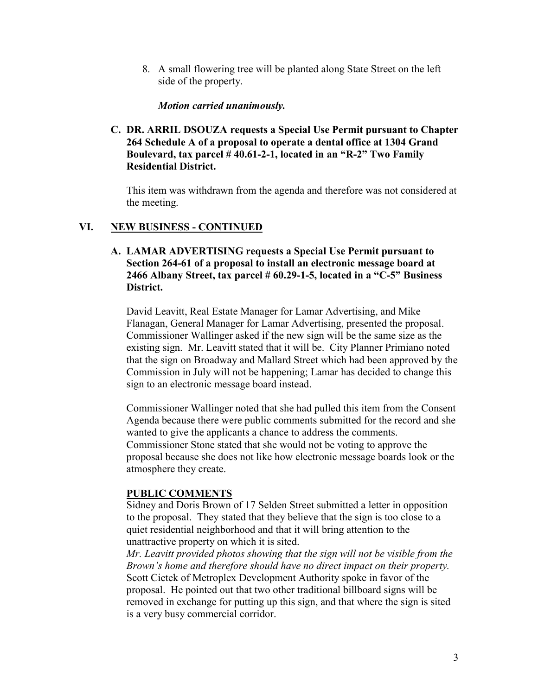8. A small flowering tree will be planted along State Street on the left side of the property.

### *Motion carried unanimously.*

C. DR. ARRIL DSOUZA requests a Special Use Permit pursuant to Chapter 264 Schedule A of a proposal to operate a dental office at 1304 Grand Boulevard, tax parcel  $#40.61-2-1$ , located in an "R-2" Two Family Residential District.

This item was withdrawn from the agenda and therefore was not considered at the meeting.

### VI. NEW BUSINESS - CONTINUED

### A. LAMAR ADVERTISING requests a Special Use Permit pursuant to Section 264-61 of a proposal to install an electronic message board at 2466 Albany Street, tax parcel  $# 60.29$ -1-5, located in a "C-5" Business District.

David Leavitt, Real Estate Manager for Lamar Advertising, and Mike Flanagan, General Manager for Lamar Advertising, presented the proposal. Commissioner Wallinger asked if the new sign will be the same size as the existing sign. Mr. Leavitt stated that it will be. City Planner Primiano noted that the sign on Broadway and Mallard Street which had been approved by the Commission in July will not be happening; Lamar has decided to change this sign to an electronic message board instead.

Commissioner Wallinger noted that she had pulled this item from the Consent Agenda because there were public comments submitted for the record and she wanted to give the applicants a chance to address the comments. Commissioner Stone stated that she would not be voting to approve the proposal because she does not like how electronic message boards look or the atmosphere they create.

### PUBLIC COMMENTS

Sidney and Doris Brown of 17 Selden Street submitted a letter in opposition to the proposal. They stated that they believe that the sign is too close to a quiet residential neighborhood and that it will bring attention to the unattractive property on which it is sited.

*Mr. Leavitt provided photos showing that the sign will not be visible from the Brown's home and therefore should have no direct impact on their property.* Scott Cietek of Metroplex Development Authority spoke in favor of the proposal. He pointed out that two other traditional billboard signs will be removed in exchange for putting up this sign, and that where the sign is sited is a very busy commercial corridor.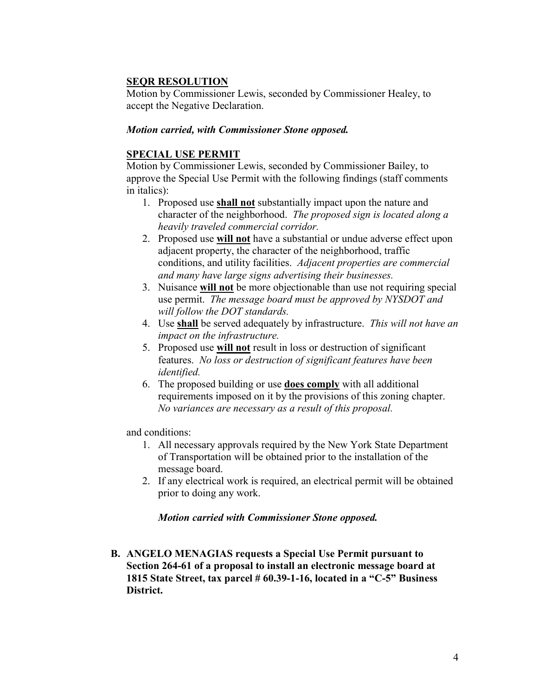### SEQR RESOLUTION

Motion by Commissioner Lewis, seconded by Commissioner Healey, to accept the Negative Declaration.

### *Motion carried, with Commissioner Stone opposed.*

### SPECIAL USE PERMIT

Motion by Commissioner Lewis, seconded by Commissioner Bailey, to approve the Special Use Permit with the following findings (staff comments in italics):

- 1. Proposed use **shall not** substantially impact upon the nature and character of the neighborhood. *The proposed sign is located along a heavily traveled commercial corridor.*
- 2. Proposed use will not have a substantial or undue adverse effect upon adjacent property, the character of the neighborhood, traffic conditions, and utility facilities. *Adjacent properties are commercial and many have large signs advertising their businesses.*
- 3. Nuisance will not be more objectionable than use not requiring special use permit. *The message board must be approved by NYSDOT and will follow the DOT standards.*
- 4. Use shall be served adequately by infrastructure. *This will not have an impact on the infrastructure.*
- 5. Proposed use will not result in loss or destruction of significant features. *No loss or destruction of significant features have been identified.*
- 6. The proposed building or use does comply with all additional requirements imposed on it by the provisions of this zoning chapter. *No variances are necessary as a result of this proposal.*

and conditions:

- 1. All necessary approvals required by the New York State Department of Transportation will be obtained prior to the installation of the message board.
- 2. If any electrical work is required, an electrical permit will be obtained prior to doing any work.

### *Motion carried with Commissioner Stone opposed.*

B. ANGELO MENAGIAS requests a Special Use Permit pursuant to Section 264-61 of a proposal to install an electronic message board at 1815 State Street, tax parcel # 60.39-1-16, located in a "C-5" Business District.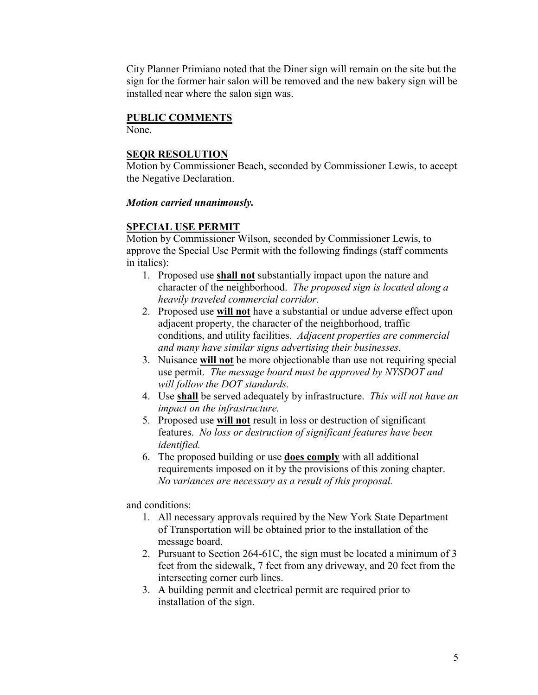City Planner Primiano noted that the Diner sign will remain on the site but the sign for the former hair salon will be removed and the new bakery sign will be installed near where the salon sign was.

### PUBLIC COMMENTS

None.

### SEQR RESOLUTION

Motion by Commissioner Beach, seconded by Commissioner Lewis, to accept the Negative Declaration.

### *Motion carried unanimously.*

### SPECIAL USE PERMIT

Motion by Commissioner Wilson, seconded by Commissioner Lewis, to approve the Special Use Permit with the following findings (staff comments in italics):

- 1. Proposed use shall not substantially impact upon the nature and character of the neighborhood. *The proposed sign is located along a heavily traveled commercial corridor.*
- 2. Proposed use **will not** have a substantial or undue adverse effect upon adjacent property, the character of the neighborhood, traffic conditions, and utility facilities. *Adjacent properties are commercial and many have similar signs advertising their businesses.*
- 3. Nuisance will not be more objectionable than use not requiring special use permit. *The message board must be approved by NYSDOT and will follow the DOT standards.*
- 4. Use shall be served adequately by infrastructure. *This will not have an impact on the infrastructure.*
- 5. Proposed use will not result in loss or destruction of significant features. *No loss or destruction of significant features have been identified.*
- 6. The proposed building or use does comply with all additional requirements imposed on it by the provisions of this zoning chapter. *No variances are necessary as a result of this proposal.*

and conditions:

- 1. All necessary approvals required by the New York State Department of Transportation will be obtained prior to the installation of the message board.
- 2. Pursuant to Section 264-61C, the sign must be located a minimum of 3 feet from the sidewalk, 7 feet from any driveway, and 20 feet from the intersecting corner curb lines.
- 3. A building permit and electrical permit are required prior to installation of the sign.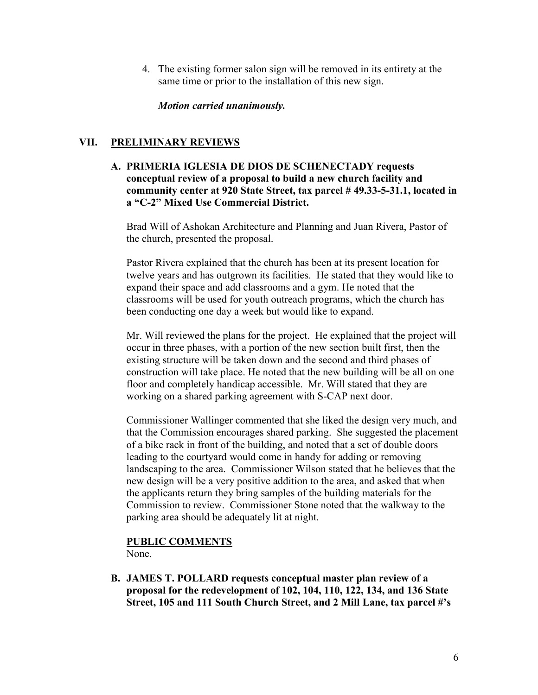4. The existing former salon sign will be removed in its entirety at the same time or prior to the installation of this new sign.

### *Motion carried unanimously.*

### VII. PRELIMINARY REVIEWS

A. PRIMERIA IGLESIA DE DIOS DE SCHENECTADY requests conceptual review of a proposal to build a new church facility and community center at 920 State Street, tax parcel # 49.33-5-31.1, located in a "C-2" Mixed Use Commercial District.

Brad Will of Ashokan Architecture and Planning and Juan Rivera, Pastor of the church, presented the proposal.

Pastor Rivera explained that the church has been at its present location for twelve years and has outgrown its facilities. He stated that they would like to expand their space and add classrooms and a gym. He noted that the classrooms will be used for youth outreach programs, which the church has been conducting one day a week but would like to expand.

Mr. Will reviewed the plans for the project. He explained that the project will occur in three phases, with a portion of the new section built first, then the existing structure will be taken down and the second and third phases of construction will take place. He noted that the new building will be all on one floor and completely handicap accessible. Mr. Will stated that they are working on a shared parking agreement with S-CAP next door.

Commissioner Wallinger commented that she liked the design very much, and that the Commission encourages shared parking. She suggested the placement of a bike rack in front of the building, and noted that a set of double doors leading to the courtyard would come in handy for adding or removing landscaping to the area. Commissioner Wilson stated that he believes that the new design will be a very positive addition to the area, and asked that when the applicants return they bring samples of the building materials for the Commission to review. Commissioner Stone noted that the walkway to the parking area should be adequately lit at night.

# PUBLIC COMMENTS

None.

B. JAMES T. POLLARD requests conceptual master plan review of a proposal for the redevelopment of 102, 104, 110, 122, 134, and 136 State Street, 105 and 111 South Church Street, and 2 Mill Lane, tax parcel #'s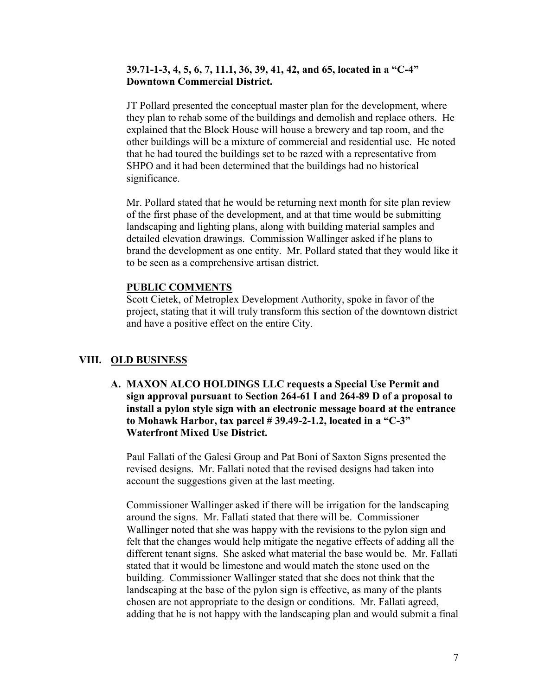### 39.71-1-3, 4, 5, 6, 7, 11.1, 36, 39, 41, 42, and 65, located in a "C-4" Downtown Commercial District.

JT Pollard presented the conceptual master plan for the development, where they plan to rehab some of the buildings and demolish and replace others. He explained that the Block House will house a brewery and tap room, and the other buildings will be a mixture of commercial and residential use. He noted that he had toured the buildings set to be razed with a representative from SHPO and it had been determined that the buildings had no historical significance.

Mr. Pollard stated that he would be returning next month for site plan review of the first phase of the development, and at that time would be submitting landscaping and lighting plans, along with building material samples and detailed elevation drawings. Commission Wallinger asked if he plans to brand the development as one entity. Mr. Pollard stated that they would like it to be seen as a comprehensive artisan district.

### PUBLIC COMMENTS

Scott Cietek, of Metroplex Development Authority, spoke in favor of the project, stating that it will truly transform this section of the downtown district and have a positive effect on the entire City.

### VIII. OLD BUSINESS

A. MAXON ALCO HOLDINGS LLC requests a Special Use Permit and sign approval pursuant to Section 264-61 I and 264-89 D of a proposal to install a pylon style sign with an electronic message board at the entrance to Mohawk Harbor, tax parcel  $# 39.49 - 2 - 1.2$ , located in a "C-3" Waterfront Mixed Use District.

Paul Fallati of the Galesi Group and Pat Boni of Saxton Signs presented the revised designs. Mr. Fallati noted that the revised designs had taken into account the suggestions given at the last meeting.

Commissioner Wallinger asked if there will be irrigation for the landscaping around the signs. Mr. Fallati stated that there will be. Commissioner Wallinger noted that she was happy with the revisions to the pylon sign and felt that the changes would help mitigate the negative effects of adding all the different tenant signs. She asked what material the base would be. Mr. Fallati stated that it would be limestone and would match the stone used on the building. Commissioner Wallinger stated that she does not think that the landscaping at the base of the pylon sign is effective, as many of the plants chosen are not appropriate to the design or conditions. Mr. Fallati agreed, adding that he is not happy with the landscaping plan and would submit a final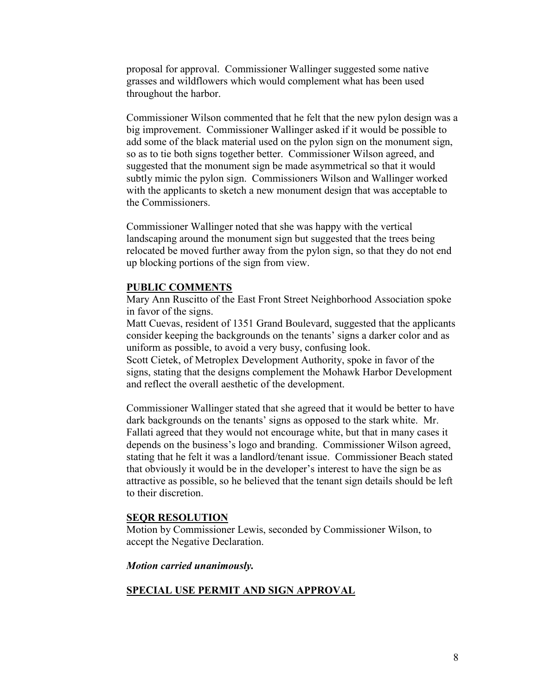proposal for approval. Commissioner Wallinger suggested some native grasses and wildflowers which would complement what has been used throughout the harbor.

Commissioner Wilson commented that he felt that the new pylon design was a big improvement. Commissioner Wallinger asked if it would be possible to add some of the black material used on the pylon sign on the monument sign, so as to tie both signs together better. Commissioner Wilson agreed, and suggested that the monument sign be made asymmetrical so that it would subtly mimic the pylon sign. Commissioners Wilson and Wallinger worked with the applicants to sketch a new monument design that was acceptable to the Commissioners.

Commissioner Wallinger noted that she was happy with the vertical landscaping around the monument sign but suggested that the trees being relocated be moved further away from the pylon sign, so that they do not end up blocking portions of the sign from view.

#### PUBLIC COMMENTS

Mary Ann Ruscitto of the East Front Street Neighborhood Association spoke in favor of the signs.

Matt Cuevas, resident of 1351 Grand Boulevard, suggested that the applicants consider keeping the backgrounds on the tenants' signs a darker color and as uniform as possible, to avoid a very busy, confusing look.

Scott Cietek, of Metroplex Development Authority, spoke in favor of the signs, stating that the designs complement the Mohawk Harbor Development and reflect the overall aesthetic of the development.

Commissioner Wallinger stated that she agreed that it would be better to have dark backgrounds on the tenants' signs as opposed to the stark white. Mr. Fallati agreed that they would not encourage white, but that in many cases it depends on the business's logo and branding. Commissioner Wilson agreed, stating that he felt it was a landlord/tenant issue. Commissioner Beach stated that obviously it would be in the developer's interest to have the sign be as attractive as possible, so he believed that the tenant sign details should be left to their discretion.

#### SEQR RESOLUTION

Motion by Commissioner Lewis, seconded by Commissioner Wilson, to accept the Negative Declaration.

#### *Motion carried unanimously.*

### SPECIAL USE PERMIT AND SIGN APPROVAL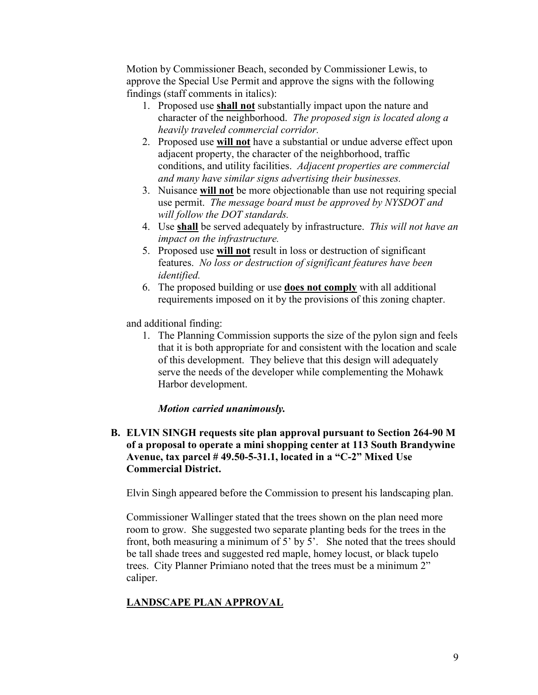Motion by Commissioner Beach, seconded by Commissioner Lewis, to approve the Special Use Permit and approve the signs with the following findings (staff comments in italics):

- 1. Proposed use shall not substantially impact upon the nature and character of the neighborhood. *The proposed sign is located along a heavily traveled commercial corridor.*
- 2. Proposed use will not have a substantial or undue adverse effect upon adjacent property, the character of the neighborhood, traffic conditions, and utility facilities. *Adjacent properties are commercial and many have similar signs advertising their businesses.*
- 3. Nuisance will not be more objectionable than use not requiring special use permit. *The message board must be approved by NYSDOT and will follow the DOT standards.*
- 4. Use shall be served adequately by infrastructure. *This will not have an impact on the infrastructure.*
- 5. Proposed use will not result in loss or destruction of significant features. *No loss or destruction of significant features have been identified.*
- 6. The proposed building or use does not comply with all additional requirements imposed on it by the provisions of this zoning chapter.

and additional finding:

1. The Planning Commission supports the size of the pylon sign and feels that it is both appropriate for and consistent with the location and scale of this development. They believe that this design will adequately serve the needs of the developer while complementing the Mohawk Harbor development.

### *Motion carried unanimously.*

B. ELVIN SINGH requests site plan approval pursuant to Section 264-90 M of a proposal to operate a mini shopping center at 113 South Brandywine Avenue, tax parcel # 49.50-5-31.1, located in a "C-2" Mixed Use Commercial District.

Elvin Singh appeared before the Commission to present his landscaping plan.

Commissioner Wallinger stated that the trees shown on the plan need more room to grow. She suggested two separate planting beds for the trees in the front, both measuring a minimum of 5' by 5'. She noted that the trees should be tall shade trees and suggested red maple, homey locust, or black tupelo trees. City Planner Primiano noted that the trees must be a minimum 2" caliper.

# LANDSCAPE PLAN APPROVAL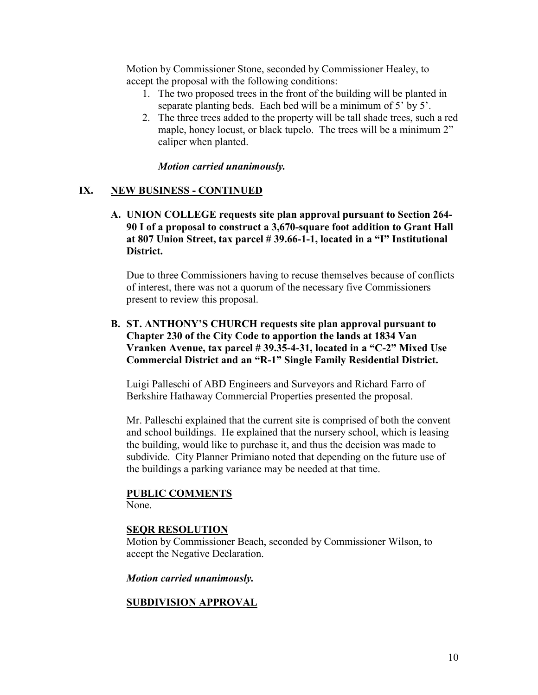Motion by Commissioner Stone, seconded by Commissioner Healey, to accept the proposal with the following conditions:

- 1. The two proposed trees in the front of the building will be planted in separate planting beds. Each bed will be a minimum of 5' by 5'.
- 2. The three trees added to the property will be tall shade trees, such a red maple, honey locust, or black tupelo. The trees will be a minimum 2" caliper when planted.

### *Motion carried unanimously.*

### IX. NEW BUSINESS - CONTINUED

A. UNION COLLEGE requests site plan approval pursuant to Section 264- 90 I of a proposal to construct a 3,670-square foot addition to Grant Hall at 807 Union Street, tax parcel # 39.66-1-1, located in a "I" Institutional District.

Due to three Commissioners having to recuse themselves because of conflicts of interest, there was not a quorum of the necessary five Commissioners present to review this proposal.

### B. ST. ANTHONY'S CHURCH requests site plan approval pursuant to Chapter 230 of the City Code to apportion the lands at 1834 Van Vranken Avenue, tax parcel # 39.35-4-31, located in a "C-2" Mixed Use Commercial District and an "R-1" Single Family Residential District.

Luigi Palleschi of ABD Engineers and Surveyors and Richard Farro of Berkshire Hathaway Commercial Properties presented the proposal.

Mr. Palleschi explained that the current site is comprised of both the convent and school buildings. He explained that the nursery school, which is leasing the building, would like to purchase it, and thus the decision was made to subdivide. City Planner Primiano noted that depending on the future use of the buildings a parking variance may be needed at that time.

# PUBLIC COMMENTS

None.

### SEQR RESOLUTION

Motion by Commissioner Beach, seconded by Commissioner Wilson, to accept the Negative Declaration.

*Motion carried unanimously.*

### SUBDIVISION APPROVAL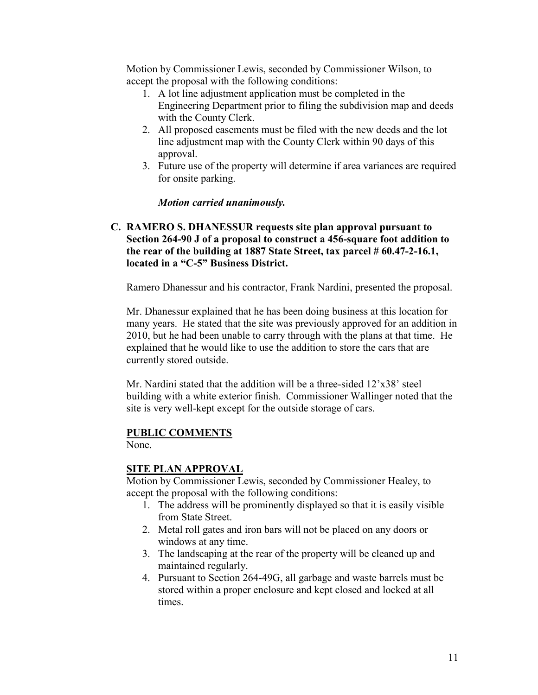Motion by Commissioner Lewis, seconded by Commissioner Wilson, to accept the proposal with the following conditions:

- 1. A lot line adjustment application must be completed in the Engineering Department prior to filing the subdivision map and deeds with the County Clerk.
- 2. All proposed easements must be filed with the new deeds and the lot line adjustment map with the County Clerk within 90 days of this approval.
- 3. Future use of the property will determine if area variances are required for onsite parking.

*Motion carried unanimously.*

### C. RAMERO S. DHANESSUR requests site plan approval pursuant to Section 264-90 J of a proposal to construct a 456-square foot addition to the rear of the building at 1887 State Street, tax parcel # 60.47-2-16.1, located in a "C-5" Business District.

Ramero Dhanessur and his contractor, Frank Nardini, presented the proposal.

Mr. Dhanessur explained that he has been doing business at this location for many years. He stated that the site was previously approved for an addition in 2010, but he had been unable to carry through with the plans at that time. He explained that he would like to use the addition to store the cars that are currently stored outside.

Mr. Nardini stated that the addition will be a three-sided 12'x38' steel building with a white exterior finish. Commissioner Wallinger noted that the site is very well-kept except for the outside storage of cars.

### PUBLIC COMMENTS

None.

### SITE PLAN APPROVAL

Motion by Commissioner Lewis, seconded by Commissioner Healey, to accept the proposal with the following conditions:

- 1. The address will be prominently displayed so that it is easily visible from State Street.
- 2. Metal roll gates and iron bars will not be placed on any doors or windows at any time.
- 3. The landscaping at the rear of the property will be cleaned up and maintained regularly.
- 4. Pursuant to Section 264-49G, all garbage and waste barrels must be stored within a proper enclosure and kept closed and locked at all times.